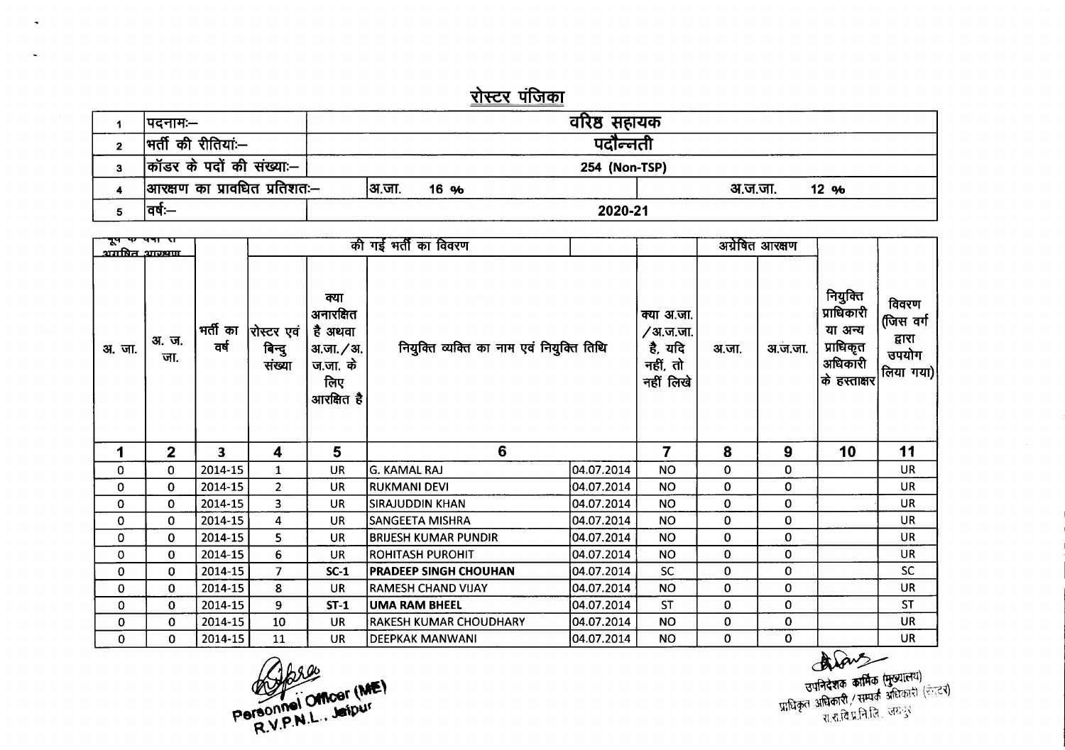## <u>रोस्टर पंजिका</u>

|   | ।पदनामः—                     |               | वरिष्ठ सहायक  |         |       |
|---|------------------------------|---------------|---------------|---------|-------|
| 2 | भर्ती की रीतियां:—           |               | पर्दोन्नती    |         |       |
| 3 | कॉडर के पदों की संख्याः–     |               | 254 (Non-TSP) |         |       |
|   | आरक्षण का प्रावधित प्रतिशतः— | अ.जा.<br>16 % |               | अ.ज.जा. | 12,96 |
|   | ਰਥ:—                         |               | 2020-21       |         |       |

| नूप पर पत्रा रा<br><u>अगमित आरम्रणा</u> |                |                  |                                  |                                                                              | की गई भर्ती का विवरण                      |            |                                                                    |       | अग्रेषित आरक्षण |                                                                           |                                                    |
|-----------------------------------------|----------------|------------------|----------------------------------|------------------------------------------------------------------------------|-------------------------------------------|------------|--------------------------------------------------------------------|-------|-----------------|---------------------------------------------------------------------------|----------------------------------------------------|
| अ. जा.                                  | अ.ज.<br>जा.    | भर्ती का<br>वर्ष | रोस्टर एवं  <br>बिन्दु<br>संख्या | क्या<br>अनारक्षित<br>है अथवा<br>31.जा. / अ.<br>ज.जा. के<br>लिए<br>आरक्षित है | नियुक्ति व्यक्ति का नाम एवं नियुक्ति तिथि |            | क्या अ.जा.<br><i>/</i> अ.ज.जा.<br>है, यदि<br>नहीं, तो<br>नहीं लिखे | अ.जा. | अ.ज.जा.         | नियुक्ति<br>प्राधिकारी<br>या अन्य<br>प्राधिकृत<br>अधिकारी<br>के हस्ताक्षर | विवरण<br>(जिस वर्ग<br>द्वारा<br>उपयोग<br>लिया गया) |
|                                         |                |                  |                                  |                                                                              |                                           |            |                                                                    |       |                 |                                                                           |                                                    |
| 1                                       | $\overline{2}$ | 3                | 4                                | 5                                                                            | 6                                         |            | 7                                                                  | 8     | 9               | 10                                                                        | 11                                                 |
| 0                                       | 0              | 2014-15          | $\mathbf{1}$                     | UR                                                                           | lg. KAMAL RAJ                             | 04.07.2014 | <b>NO</b>                                                          | 0     | 0               |                                                                           | <b>UR</b>                                          |
| 0                                       | $\mathbf{0}$   | 2014-15          | $\overline{2}$                   | <b>UR</b>                                                                    | <b>RUKMANI DEVI</b>                       | 04.07.2014 | <b>NO</b>                                                          | 0     | 0               |                                                                           | <b>UR</b>                                          |
| 0                                       | 0              | 2014-15          | 3                                | <b>UR</b>                                                                    | <b>SIRAJUDDIN KHAN</b>                    | 04.07.2014 | <b>NO</b>                                                          | 0     | 0               |                                                                           | UR                                                 |
| $\mathbf 0$                             | 0              | 2014-15          | 4                                | <b>UR</b>                                                                    | <b>SANGEETA MISHRA</b>                    | 04.07.2014 | <b>NO</b>                                                          | 0     | 0               |                                                                           | <b>UR</b>                                          |
| 0                                       | $\Omega$       | 2014-15          | 5                                | <b>UR</b>                                                                    | <b>BRIJESH KUMAR PUNDIR</b>               | 04.07.2014 | <b>NO</b>                                                          | 0     | 0               |                                                                           | UR                                                 |
| 0                                       | 0              | 2014-15          | 6                                | UR                                                                           | IROHITASH PUROHIT                         | 04.07.2014 | <b>NO</b>                                                          | 0     | 0               |                                                                           | <b>UR</b>                                          |
| 0                                       | 0              | 2014-15          | $\overline{7}$                   | $SC-1$                                                                       | <b>PRADEEP SINGH CHOUHAN</b>              | 04.07.2014 | <b>SC</b>                                                          | 0     | 0               |                                                                           | <b>SC</b>                                          |
| 0                                       | 0              | 2014-15          | 8                                | <b>UR</b>                                                                    | <b>RAMESH CHAND VIJAY</b>                 | 04.07.2014 | <b>NO</b>                                                          | 0     | 0               |                                                                           | <b>UR</b>                                          |
| 0                                       | 0              | 2014-15          | 9                                | $ST-1$                                                                       | <b>UMA RAM BHEEL</b>                      | 04.07.2014 | <b>ST</b>                                                          | 0     | 0               |                                                                           | <b>ST</b>                                          |
| 0                                       | 0              | 2014-15          | 10                               | <b>UR</b>                                                                    | <b>RAKESH KUMAR CHOUDHARY</b>             | 04.07.2014 | <b>NO</b>                                                          | 0     | 0               |                                                                           | <b>UR</b>                                          |

Jorge Personnel Officer (ME)

 $\tilde{\mathcal{A}}$ 

 $\mathbf{u}$ 

स्त्री प्राप्तिदेशक कार्मिक (मुख्यात्मय)<br>उपनिदेशक कार्मिक (मुख्यात्मय)<br>प्राधिकृत अधिकारी / सम्पर्क अधिकारी (रेल्टर)<br>राज्ञीकृत आधिकारी / सम्पर्क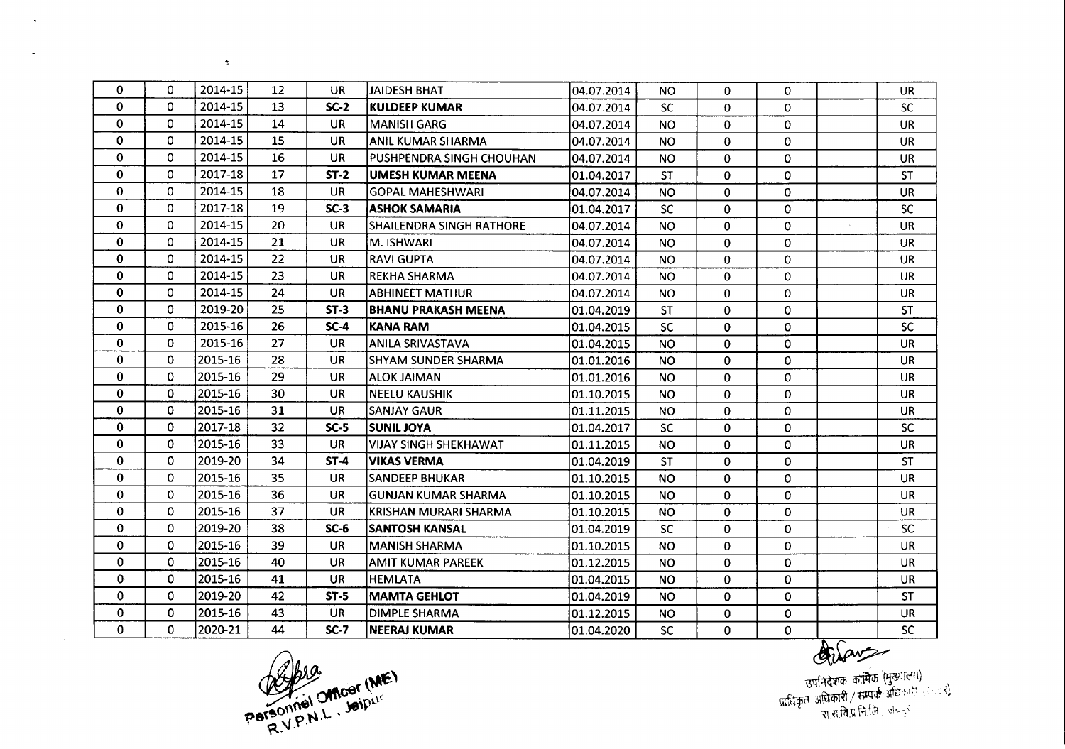| $\Omega$     | 0            | 2014-15 | 12 | UR        | <b>JAIDESH BHAT</b>             | 04.07.2014  | <b>NO</b> | 0            | $\Omega$     | <b>UR</b> |
|--------------|--------------|---------|----|-----------|---------------------------------|-------------|-----------|--------------|--------------|-----------|
| $\mathbf 0$  | $\Omega$     | 2014-15 | 13 | $SC-2$    | <b>KULDEEP KUMAR</b>            | 04.07.2014  | <b>SC</b> | $\mathbf{0}$ | $\Omega$     | <b>SC</b> |
| $\Omega$     | 0            | 2014-15 | 14 | <b>UR</b> | <b>MANISH GARG</b>              | 04.07.2014  | <b>NO</b> | $\mathbf{0}$ | 0            | <b>UR</b> |
| 0            | 0            | 2014-15 | 15 | <b>UR</b> | <b>ANIL KUMAR SHARMA</b>        | 04.07.2014  | NO.       | 0            | $\mathbf 0$  | <b>UR</b> |
| 0            | 0            | 2014-15 | 16 | <b>UR</b> | PUSHPENDRA SINGH CHOUHAN        | 04.07.2014  | <b>NO</b> | 0            | $\Omega$     | <b>UR</b> |
| $\mathbf 0$  | 0            | 2017-18 | 17 | $ST-2$    | <b>UMESH KUMAR MEENA</b>        | 101.04.2017 | <b>ST</b> | 0            | $\Omega$     | <b>ST</b> |
| $\mathbf 0$  | $\Omega$     | 2014-15 | 18 | <b>UR</b> | <b>GOPAL MAHESHWARI</b>         | 04.07.2014  | <b>NO</b> | $\Omega$     | $\Omega$     | <b>UR</b> |
| $\mathbf 0$  | 0            | 2017-18 | 19 | $SC-3$    | <b>ASHOK SAMARIA</b>            | 01.04.2017  | <b>SC</b> | 0            | 0            | <b>SC</b> |
| $\mathbf 0$  | 0            | 2014-15 | 20 | <b>UR</b> | <b>SHAILENDRA SINGH RATHORE</b> | 04.07.2014  | <b>NO</b> | 0            | $\mathbf 0$  | <b>UR</b> |
| $\mathbf 0$  | $\Omega$     | 2014-15 | 21 | <b>UR</b> | M. ISHWARI                      | 04.07.2014  | <b>NO</b> | 0            | $\Omega$     | <b>UR</b> |
| 0            | 0            | 2014-15 | 22 | UR        | <b>RAVI GUPTA</b>               | 04.07.2014  | <b>NO</b> | 0            | 0            | <b>UR</b> |
| 0            | 0            | 2014-15 | 23 | <b>UR</b> | <b>REKHA SHARMA</b>             | 04.07.2014  | <b>NO</b> | $\mathbf{0}$ | 0            | <b>UR</b> |
| $\mathbf 0$  | 0            | 2014-15 | 24 | <b>UR</b> | ABHINEET MATHUR                 | 04.07.2014  | <b>NO</b> | $\mathbf{0}$ | 0            | <b>UR</b> |
| $\Omega$     | $\Omega$     | 2019-20 | 25 | $ST-3$    | <b>BHANU PRAKASH MEENA</b>      | 101.04.2019 | <b>ST</b> | $\Omega$     | $\Omega$     | <b>ST</b> |
| $\mathbf 0$  | $\Omega$     | 2015-16 | 26 | $SC-4$    | KANA RAM                        | 01.04.2015  | <b>SC</b> | 0            | $\mathbf 0$  | <b>SC</b> |
| 0            | $\mathbf{0}$ | 2015-16 | 27 | <b>UR</b> | <b>ANILA SRIVASTAVA</b>         | 01.04.2015  | <b>NO</b> | 0            | $\mathbf 0$  | <b>UR</b> |
| 0            | $\Omega$     | 2015-16 | 28 | <b>UR</b> | <b>SHYAM SUNDER SHARMA</b>      | 01.01.2016  | <b>NO</b> | 0            | $\Omega$     | <b>UR</b> |
| $\mathbf 0$  | 0            | 2015-16 | 29 | <b>UR</b> | <b>ALOK JAIMAN</b>              | 01.01.2016  | <b>NO</b> | 0            | 0            | <b>UR</b> |
| $\mathbf 0$  | 0            | 2015-16 | 30 | <b>UR</b> | <b>NEELU KAUSHIK</b>            | 01.10.2015  | <b>NO</b> | 0            | $\mathbf 0$  | <b>UR</b> |
| 0            | 0            | 2015-16 | 31 | <b>UR</b> | <b>SANJAY GAUR</b>              | 01.11.2015  | <b>NO</b> | 0            | 0            | <b>UR</b> |
| 0            | 0            | 2017-18 | 32 | $SC-5$    | <b>SUNIL JOYA</b>               | 01.04.2017  | <b>SC</b> | 0            | $\mathbf{0}$ | <b>SC</b> |
| $\mathbf 0$  | $\Omega$     | 2015-16 | 33 | <b>UR</b> | <b>VIJAY SINGH SHEKHAWAT</b>    | 01.11.2015  | <b>NO</b> | 0            | $\Omega$     | <b>UR</b> |
| $\mathbf 0$  | 0            | 2019-20 | 34 | $ST-4$    | <b>VIKAS VERMA</b>              | 01.04.2019  | <b>ST</b> | $\mathbf{0}$ | $\mathbf{0}$ | <b>ST</b> |
| $\mathbf 0$  | 0            | 2015-16 | 35 | <b>UR</b> | <b>SANDEEP BHUKAR</b>           | 01.10.2015  | <b>NO</b> | $\mathbf{0}$ | $\mathbf{0}$ | <b>UR</b> |
| $\mathbf 0$  | 0            | 2015-16 | 36 | UR.       | <b>GUNJAN KUMAR SHARMA</b>      | 01.10.2015  | <b>NO</b> | 0            | $\mathbf 0$  | <b>UR</b> |
| 0            | 0            | 2015-16 | 37 | <b>UR</b> | KRISHAN MURARI SHARMA           | 01.10.2015  | <b>NO</b> | 0            | $\mathbf 0$  | <b>UR</b> |
| 0            | 0            | 2019-20 | 38 | $SC-6$    | <b>SANTOSH KANSAL</b>           | 101.04.2019 | <b>SC</b> | 0            | $\mathbf 0$  | <b>SC</b> |
| $\mathbf 0$  | 0            | 2015-16 | 39 | <b>UR</b> | <b>MANISH SHARMA</b>            | 01.10.2015  | <b>NO</b> | 0            | $\mathbf 0$  | <b>UR</b> |
| $\mathbf{0}$ | 0            | 2015-16 | 40 | <b>UR</b> | AMIT KUMAR PAREEK               | 01.12.2015  | <b>NO</b> | 0            | $\mathbf{0}$ | <b>UR</b> |
| $\mathbf{0}$ | 0            | 2015-16 | 41 | <b>UR</b> | <b>HEMLATA</b>                  | 01.04.2015  | <b>NO</b> | 0            | $\mathbf 0$  | <b>UR</b> |
| $\mathbf 0$  | 0            | 2019-20 | 42 | $ST-5$    | <b>MAMTA GEHLOT</b>             | 01.04.2019  | <b>NO</b> | 0            | $\mathbf{0}$ | <b>ST</b> |
| 0            | 0            | 2015-16 | 43 | <b>UR</b> | <b>DIMPLE SHARMA</b>            | 01.12.2015  | NO.       | 0            | $\Omega$     | <b>UR</b> |
| 0            | 0            | 2020-21 | 44 | $SC-7$    | <b>NEERAJ KUMAR</b>             | 01.04.2020  | <b>SC</b> | 0            | 0            | <b>SC</b> |

Personniel Officer (ME)

 $\tilde{\phantom{a}}$ 

 $\sim$ 

 $\bullet$ 

Orlans - -<br>उपनिदेशक कार्मिक (मुख्यालय)<br>प्राच्चित्र अधिकारी / सम्पर्क अधिकारी (२९९९)<br>- राज्यातिप्रनिर्तित जयनुर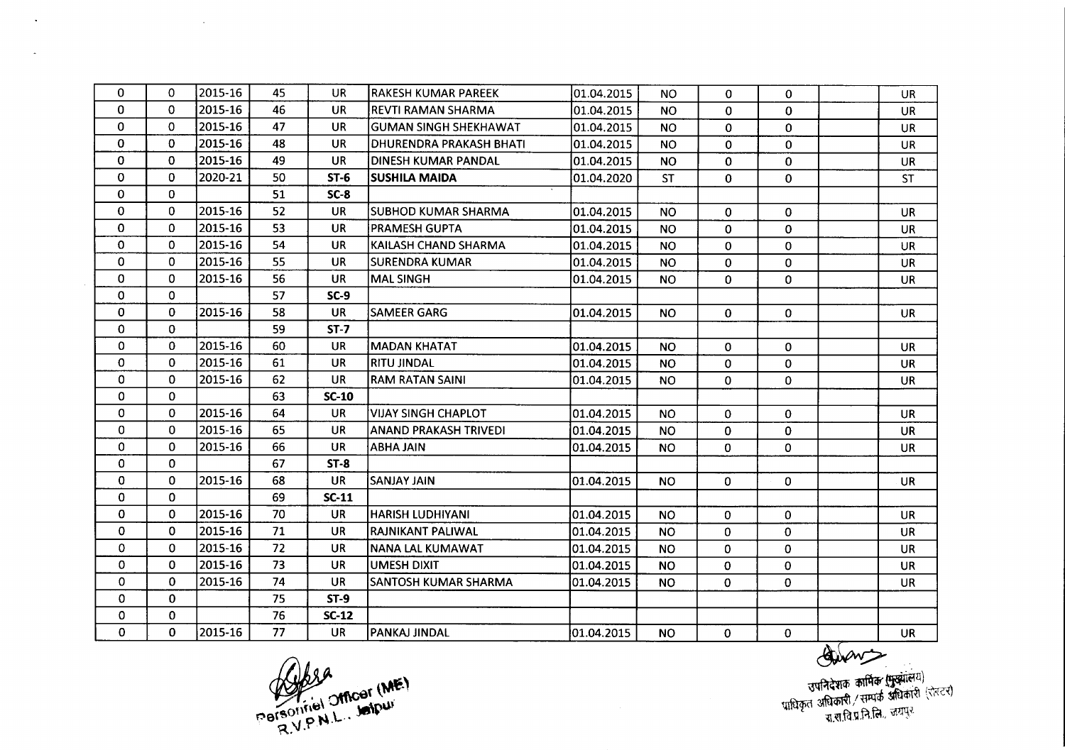| 0            | 0            | 2015-16 | 45 | UR.       | <b>RAKESH KUMAR PAREEK</b>     | 01.04.2015 | <b>NO</b>      | $\mathbf 0$  | $\Omega$     | UR        |
|--------------|--------------|---------|----|-----------|--------------------------------|------------|----------------|--------------|--------------|-----------|
| 0            | $\Omega$     | 2015-16 | 46 | <b>UR</b> | <b>REVTI RAMAN SHARMA</b>      | 01.04.2015 | <b>NO</b>      | $\Omega$     | $\Omega$     | <b>UR</b> |
| $\Omega$     | $\Omega$     | 2015-16 | 47 | UR.       | <b>GUMAN SINGH SHEKHAWAT</b>   | 01.04.2015 | <b>NO</b>      | $\Omega$     | $\Omega$     | <b>UR</b> |
| $\Omega$     | $\Omega$     | 2015-16 | 48 | <b>UR</b> | <b>DHURENDRA PRAKASH BHATI</b> | 01.04.2015 | <b>NO</b>      | $\mathbf 0$  | 0            | <b>UR</b> |
| 0            | 0            | 2015-16 | 49 | UR.       | DINESH KUMAR PANDAL            | 01.04.2015 | <b>NO</b>      | $\mathbf 0$  | $\mathbf 0$  | <b>UR</b> |
| 0            | $\mathbf{0}$ | 2020-21 | 50 | $ST-6$    | <b>SUSHILA MAIDA</b>           | 01.04.2020 | <b>ST</b>      | $\bf{0}$     | $\mathbf 0$  | <b>ST</b> |
| $\Omega$     | $\mathbf{0}$ |         | 51 | $SC-8$    |                                |            |                |              |              |           |
| $\mathbf 0$  | $\mathbf{0}$ | 2015-16 | 52 | <b>UR</b> | <b>SUBHOD KUMAR SHARMA</b>     | 01.04.2015 | <b>NO</b>      | 0            | $\Omega$     | UR        |
| 0            | $\Omega$     | 2015-16 | 53 | <b>UR</b> | <b>PRAMESH GUPTA</b>           | 01.04.2015 | <b>NO</b>      | $\mathbf{0}$ | $\mathbf{0}$ | <b>UR</b> |
| $\Omega$     | $\Omega$     | 2015-16 | 54 | <b>UR</b> | KAILASH CHAND SHARMA           | 01.04.2015 | <b>NO</b>      | $\Omega$     | $\Omega$     | UR        |
| 0            | $\Omega$     | 2015-16 | 55 | UR        | <b>SURENDRA KUMAR</b>          | 01.04.2015 | <b>NO</b>      | 0            | $\mathbf{0}$ | UR        |
| 0            | $\mathbf 0$  | 2015-16 | 56 | <b>UR</b> | <b>MAL SINGH</b>               | 01.04.2015 | NO.            | 0            | 0            | <b>UR</b> |
| 0            | $\mathbf 0$  |         | 57 | $SC-9$    |                                |            |                |              |              |           |
| $\mathbf 0$  | $\Omega$     | 2015-16 | 58 | <b>UR</b> | <b>SAMEER GARG</b>             | 01.04.2015 | N <sub>O</sub> | $\mathbf{0}$ | $\Omega$     | <b>UR</b> |
| $\mathbf 0$  | $\Omega$     |         | 59 | $ST-7$    |                                |            |                |              |              |           |
| $\Omega$     | 0            | 2015-16 | 60 | UR.       | <b>MADAN KHATAT</b>            | 01.04.2015 | NO.            | 0            | 0            | UR        |
| $\mathbf 0$  | 0            | 2015-16 | 61 | <b>UR</b> | RITU JINDAL                    | 01.04.2015 | <b>NO</b>      | 0            | $\mathbf 0$  | UR        |
| 0            | 0            | 2015-16 | 62 | <b>UR</b> | <b>RAM RATAN SAINI</b>         | 01.04.2015 | <b>NO</b>      | $\mathbf 0$  | $\Omega$     | <b>UR</b> |
| $\mathbf{0}$ | 0            |         | 63 | $SC-10$   |                                |            |                |              |              |           |
| $\mathbf{0}$ | 0            | 2015-16 | 64 | UR.       | <b>VIJAY SINGH CHAPLOT</b>     | 01.04.2015 | <b>NO</b>      | 0            | $\mathbf{0}$ | <b>UR</b> |
| 0            | 0            | 2015-16 | 65 | UR        | <b>ANAND PRAKASH TRIVEDI</b>   | 01.04.2015 | <b>NO</b>      | $\bf{0}$     | $\mathbf{0}$ | <b>UR</b> |
| $\mathbf 0$  | $\mathbf{0}$ | 2015-16 | 66 | <b>UR</b> | <b>ABHA JAIN</b>               | 01.04.2015 | <b>NO</b>      | 0            | $\mathbf{0}$ | <b>UR</b> |
| $\Omega$     | 0            |         | 67 | $ST-8$    |                                |            |                |              |              |           |
| $\bf{0}$     | 0            | 2015-16 | 68 | UR.       | SANJAY JAIN                    | 01.04.2015 | <b>NO</b>      | 0            | $\mathbf 0$  | <b>UR</b> |
| $\mathbf 0$  | 0            |         | 69 | $SC-11$   |                                |            |                |              |              |           |
| $\mathbf{0}$ | $\Omega$     | 2015-16 | 70 | <b>UR</b> | <b>HARISH LUDHIYANI</b>        | 01.04.2015 | <b>NO</b>      | $\mathbf{0}$ | $\Omega$     | <b>UR</b> |
| $\mathbf 0$  | 0            | 2015-16 | 71 | <b>UR</b> | RAJNIKANT PALIWAL              | 01.04.2015 | <b>NO</b>      | 0            | $\mathbf 0$  | <b>UR</b> |
| $\mathbf 0$  | 0            | 2015-16 | 72 | <b>UR</b> | NANA LAL KUMAWAT               | 01.04.2015 | <b>NO</b>      | 0            | 0            | UR        |
| $\mathbf 0$  | $\Omega$     | 2015-16 | 73 | <b>UR</b> | <b>UMESH DIXIT</b>             | 01.04.2015 | <b>NO</b>      | $\mathbf 0$  | $\mathbf 0$  | <b>UR</b> |
| $\Omega$     | $\Omega$     | 2015-16 | 74 | <b>UR</b> | SANTOSH KUMAR SHARMA           | 01.04.2015 | <b>NO</b>      | $\mathbf 0$  | $\mathbf{0}$ | <b>UR</b> |
| $\mathbf 0$  | 0            |         | 75 | $ST-9$    |                                |            |                |              |              |           |
| $\Omega$     | 0            |         | 76 | $SC-12$   |                                |            |                |              |              |           |
| $\mathbf 0$  | $\Omega$     | 2015-16 | 77 | <b>UR</b> | PANKAJ JINDAL                  | 01.04.2015 | <b>NO</b>      | 0            | $\mathbf{0}$ | <b>UR</b> |

bsa Parsonniel Micar (ME)

 $\sim$ 

 $\Delta$ 

 $\sim$ 

~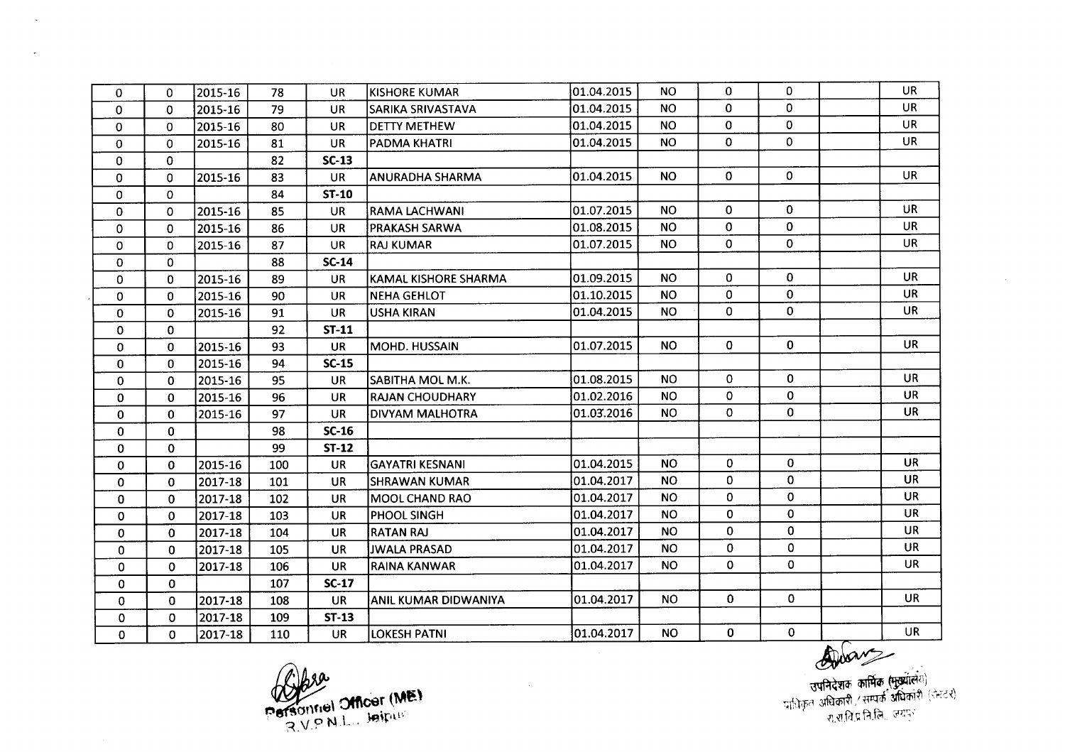| 0            | $\Omega$     | 2015-16 | 78  | <b>UR</b>    | <b>KISHORE KUMAR</b>   | 01.04.2015 | NO.       | 0              | 0            | <b>UR</b> |
|--------------|--------------|---------|-----|--------------|------------------------|------------|-----------|----------------|--------------|-----------|
| $\Omega$     | $\Omega$     | 2015-16 | 79  | <b>UR</b>    | SARIKA SRIVASTAVA      | 01.04.2015 | <b>NO</b> | 0              | 0            | <b>UR</b> |
| $\Omega$     | $\Omega$     | 2015-16 | 80  | <b>UR</b>    | <b>DETTY METHEW</b>    | 01.04.2015 | NO.       | 0              | $\Omega$     | <b>UR</b> |
| 0            | $\Omega$     | 2015-16 | 81  | <b>UR</b>    | PADMA KHATRI           | 01.04.2015 | <b>NO</b> | 0              | $\mathbf 0$  | UR        |
| 0            | $\mathbf{0}$ |         | 82  | $SC-13$      |                        |            |           |                |              |           |
| $\Omega$     | 0            | 2015-16 | 83  | <b>UR</b>    | <b>ANURADHA SHARMA</b> | 01.04.2015 | <b>NO</b> | $\mathbf 0$    | $\Omega$     | <b>UR</b> |
| $\Omega$     | $\Omega$     |         | 84  | <b>ST-10</b> |                        |            |           |                |              |           |
| 0            | 0            | 2015-16 | 85  | <b>UR</b>    | RAMA LACHWANI          | 01.07.2015 | <b>NO</b> | 0              | $\mathbf{0}$ | UR        |
| $\mathbf 0$  | 0            | 2015-16 | 86  | <b>UR</b>    | PRAKASH SARWA          | 01.08.2015 | <b>NO</b> | 0              | $\mathbf{0}$ | UR.       |
| 0            | $\Omega$     | 2015-16 | 87  | <b>UR</b>    | lRAJ KUMAR             | 01.07.2015 | <b>NO</b> | $\mathbf{0}$   | $\Omega$     | <b>UR</b> |
| 0            | 0            |         | 88  | <b>SC-14</b> |                        |            |           |                |              |           |
| 0            | 0            | 2015-16 | 89  | UR.          | KAMAL KISHORE SHARMA   | 01.09.2015 | <b>NO</b> | 0              | $\mathbf 0$  | <b>UR</b> |
| $\mathbf 0$  | $\Omega$     | 2015-16 | 90  | <b>UR</b>    | <b>NEHA GEHLOT</b>     | 01.10.2015 | <b>NO</b> | 0              | $\mathbf 0$  | <b>UR</b> |
| $\mathbf{0}$ | $\Omega$     | 2015-16 | 91  | <b>UR</b>    | USHA KIRAN             | 01.04.2015 | <b>NO</b> | 0              | 0            | <b>UR</b> |
| $\mathbf 0$  | 0            |         | 92  | <b>ST-11</b> |                        |            |           |                |              |           |
| 0            | 0            | 2015-16 | 93  | <b>UR</b>    | MOHD. HUSSAIN          | 01.07.2015 | <b>NO</b> | $\overline{0}$ | $\mathbf 0$  | <b>UR</b> |
| $\mathbf{0}$ | $\Omega$     | 2015-16 | 94  | $SC-15$      |                        |            |           |                |              |           |
| 0            | 0            | 2015-16 | 95  | <b>UR</b>    | SABITHA MOL M.K.       | 01.08.2015 | <b>NO</b> | 0              | 0            | <b>UR</b> |
| 0            | $\mathbf 0$  | 2015-16 | 96  | <b>UR</b>    | <b>RAJAN CHOUDHARY</b> | 01.02.2016 | <b>NO</b> | 0              | $\Omega$     | <b>UR</b> |
| $\mathbf 0$  | $\mathbf{0}$ | 2015-16 | 97  | <b>UR</b>    | DIVYAM MALHOTRA        | 01.03.2016 | <b>NO</b> | 0              | $\mathbf{O}$ | <b>UR</b> |
| $\Omega$     | $\Omega$     |         | 98  | $SC-16$      |                        |            |           |                |              |           |
| $\mathbf 0$  | 0            |         | 99  | $ST-12$      |                        |            |           |                |              |           |
| $\mathbf 0$  | $\mathbf 0$  | 2015-16 | 100 | <b>UR</b>    | <b>GAYATRI KESNANI</b> | 01.04.2015 | <b>NO</b> | 0              | $\mathbf{0}$ | <b>UR</b> |
| $\mathbf{0}$ | 0            | 2017-18 | 101 | <b>UR</b>    | ISHRAWAN KUMAR         | 01.04.2017 | <b>NO</b> | 0              | $\mathbf{0}$ | <b>UR</b> |
| 0            | $\Omega$     | 2017-18 | 102 | <b>UR</b>    | <b>MOOL CHAND RAO</b>  | 01.04.2017 | <b>NO</b> | 0              | $\mathbf 0$  | <b>UR</b> |
| $\mathbf 0$  | $\Omega$     | 2017-18 | 103 | <b>UR</b>    | PHOOL SINGH            | 01.04.2017 | <b>NO</b> | 0              | 0            | <b>UR</b> |
| 0            | $\mathbf 0$  | 2017-18 | 104 | <b>UR</b>    | <b>RATAN RAJ</b>       | 01.04.2017 | <b>NO</b> | $\mathbf{0}$   | $\mathbf{0}$ | <b>UR</b> |
| $\mathbf{0}$ | $\mathbf{0}$ | 2017-18 | 105 | <b>UR</b>    | <b>JWALA PRASAD</b>    | 01.04.2017 | NO.       | $\mathbf{0}$   | $\mathbf{0}$ | <b>UR</b> |
| $\Omega$     | $\mathbf{0}$ | 2017-18 | 106 | <b>UR</b>    | RAINA KANWAR           | 01.04.2017 | <b>NO</b> | 0              | $\mathbf 0$  | <b>UR</b> |
| $\mathbf{0}$ | $\mathbf{0}$ |         | 107 | $SC-17$      |                        |            |           |                |              |           |
| 0            | $\mathbf{0}$ | 2017-18 | 108 | <b>UR</b>    | ANIL KUMAR DIDWANIYA   | 01.04.2017 | <b>NO</b> | $\mathbf{0}$   | $\mathbf{0}$ | <b>UR</b> |
| 0            | 0            | 2017-18 | 109 | $ST-13$      |                        |            |           |                |              |           |
| 0            | 0            | 2017-18 | 110 | <b>UR</b>    | <b>LOKESH PATNI</b>    | 01.04.2017 | <b>NO</b> | 0              | $\mathbf 0$  | <b>UR</b> |

 $\bar{u}$ 

Personnel Officer (ME)

 $\sim$ 

 $\ddot{\phantom{a}}$ 

 $\breve{\phantom{0}}$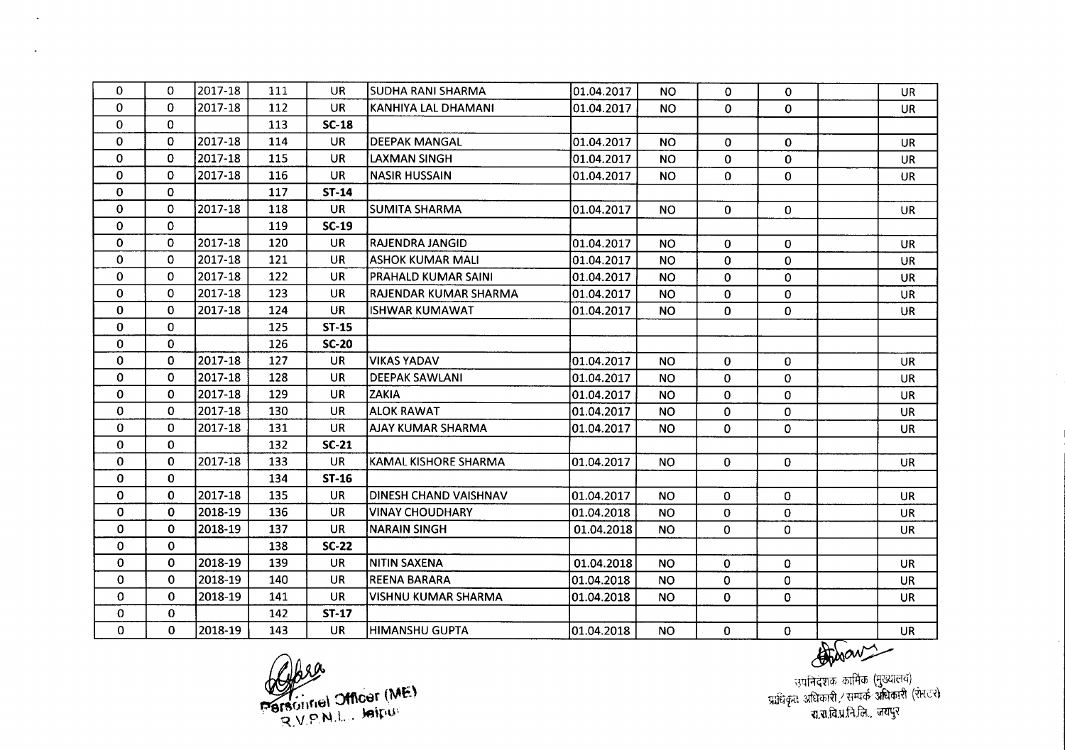| $\mathbf 0$  | 0           | 2017-18 | 111 | <b>UR</b>    | SUDHA RANI SHARMA          | 01.04.2017  | <b>NO</b> | 0            | 0            | <b>UR</b> |
|--------------|-------------|---------|-----|--------------|----------------------------|-------------|-----------|--------------|--------------|-----------|
| 0            | 0           | 2017-18 | 112 | <b>UR</b>    | KANHIYA LAL DHAMANI        | 01.04.2017  | <b>NO</b> | 0            | $\mathbf 0$  | <b>UR</b> |
| $\mathbf 0$  | $\Omega$    |         | 113 | $SC-18$      |                            |             |           |              |              |           |
| $\mathbf 0$  | 0           | 2017-18 | 114 | <b>UR</b>    | <b>DEEPAK MANGAL</b>       | 01.04.2017  | <b>NO</b> | 0            | $\Omega$     | <b>UR</b> |
| $\mathbf 0$  | 0           | 2017-18 | 115 | UR.          | LAXMAN SINGH               | 01.04.2017  | <b>NO</b> | 0            | 0            | <b>UR</b> |
| $\bf{0}$     | 0           | 2017-18 | 116 | <b>UR</b>    | <b>NASIR HUSSAIN</b>       | 01.04.2017  | <b>NO</b> | 0            | $\Omega$     | <b>UR</b> |
| $\bf{0}$     | $\Omega$    |         | 117 | <b>ST-14</b> |                            |             |           |              |              |           |
| $\bf{0}$     | 0           | 2017-18 | 118 | <b>UR</b>    | <b>SUMITA SHARMA</b>       | 01.04.2017  | <b>NO</b> | $\mathbf{0}$ | $\mathbf{0}$ | <b>UR</b> |
| $\mathbf 0$  | 0           |         | 119 | $SC-19$      |                            |             |           |              |              |           |
| $\mathbf 0$  | 0           | 2017-18 | 120 | <b>UR</b>    | <b>RAJENDRA JANGID</b>     | 01.04.2017  | <b>NO</b> | 0            | $\Omega$     | <b>UR</b> |
| 0            | $\Omega$    | 2017-18 | 121 | <b>UR</b>    | <b>ASHOK KUMAR MALI</b>    | 01.04.2017  | <b>NO</b> | 0            | $\mathbf{0}$ | <b>UR</b> |
| $\mathbf 0$  | 0           | 2017-18 | 122 | <b>UR</b>    | <b>PRAHALD KUMAR SAINI</b> | 01.04.2017  | NO.       | 0            | $\mathbf{0}$ | <b>UR</b> |
| 0            | 0           | 2017-18 | 123 | <b>UR</b>    | RAJENDAR KUMAR SHARMA      | 01.04.2017  | <b>NO</b> | 0            | 0            | <b>UR</b> |
| $\mathbf{0}$ | $\Omega$    | 2017-18 | 124 | <b>UR</b>    | <b>ISHWAR KUMAWAT</b>      | 01.04.2017  | <b>NO</b> | 0            | $\mathbf{0}$ | <b>UR</b> |
| $\mathbf 0$  | 0           |         | 125 | $ST-15$      |                            |             |           |              |              |           |
| $\mathbf{0}$ | 0           |         | 126 | <b>SC-20</b> |                            |             |           |              |              |           |
| 0            | 0           | 2017-18 | 127 | <b>UR</b>    | <b>VIKAS YADAV</b>         | 01.04.2017  | <b>NO</b> | $\mathbf{0}$ | 0            | <b>UR</b> |
| $\Omega$     | $\Omega$    | 2017-18 | 128 | <b>UR</b>    | <b>DEEPAK SAWLANI</b>      | 01.04.2017  | <b>NO</b> | $\Omega$     | $\Omega$     | <b>UR</b> |
| 0            | $\Omega$    | 2017-18 | 129 | <b>UR</b>    | ZAKIA                      | 01.04.2017  | <b>NO</b> | $\mathbf 0$  | $\mathbf 0$  | <b>UR</b> |
| 0            | 0           | 2017-18 | 130 | <b>UR</b>    | <b>ALOK RAWAT</b>          | 01.04.2017  | <b>NO</b> | 0            | $\mathbf 0$  | <b>UR</b> |
| 0            | 0           | 2017-18 | 131 | <b>UR</b>    | <b>AJAY KUMAR SHARMA</b>   | 01.04.2017  | <b>NO</b> | $\mathbf 0$  | $\mathbf 0$  | UR        |
| $\mathbf{0}$ | $\Omega$    |         | 132 | $SC-21$      |                            |             |           |              |              |           |
| $\mathbf{0}$ | $\mathbf 0$ | 2017-18 | 133 | <b>UR</b>    | KAMAL KISHORE SHARMA       | 101.04.2017 | <b>NO</b> | $\mathbf{0}$ | $\mathbf{0}$ | <b>UR</b> |
| 0            | $\Omega$    |         | 134 | $ST-16$      |                            |             |           |              |              |           |
| $\mathbf 0$  | $\mathbf 0$ | 2017-18 | 135 | <b>UR</b>    | DINESH CHAND VAISHNAV      | 01.04.2017  | <b>NO</b> | $\mathbf{0}$ | $\Omega$     | <b>UR</b> |
| $\mathbf 0$  | $\Omega$    | 2018-19 | 136 | <b>UR</b>    | <b>VINAY CHOUDHARY</b>     | 01.04.2018  | <b>NO</b> | 0            | $\mathbf 0$  | UR        |
| $\mathbf 0$  | 0           | 2018-19 | 137 | <b>UR</b>    | <b>NARAIN SINGH</b>        | 01.04.2018  | <b>NO</b> | 0            | 0            | UR        |
| 0            | 0           |         | 138 | $SC-22$      |                            |             |           |              |              |           |
| $\mathbf{0}$ | 0           | 2018-19 | 139 | <b>UR</b>    | <b>NITIN SAXENA</b>        | 01.04.2018  | <b>NO</b> | $\mathbf{0}$ | $\mathbf 0$  | <b>UR</b> |
| $\mathbf{0}$ | 0           | 2018-19 | 140 | <b>UR</b>    | <b>REENA BARARA</b>        | 01.04.2018  | <b>NO</b> | 0            | 0            | <b>UR</b> |
| $\mathbf 0$  | 0           | 2018-19 | 141 | <b>UR</b>    | VISHNU KUMAR SHARMA        | 01.04.2018  | NO.       | 0            | $\mathbf 0$  | UR.       |
| $\mathbf 0$  | 0           |         | 142 | <b>ST-17</b> |                            |             |           |              |              |           |
| $\mathbf 0$  | 0           | 2018-19 | 143 | <b>UR</b>    | <b>HIMANSHU GUPTA</b>      | 01.04.2018  | <b>NO</b> | 0            | $\mathbf 0$  | UR        |

 $20 - 68$ Personnel Officer (ME)

 $\sim$ 

 $\mathbf{A}$ 

उपनिदेशक कार्मिक (मुख्यालय) <sub>.</sub> प्राधिकर्ता अधिकारी / सम्पर्क-अधिकारी (रRCX) रा.रा.वि.प्र.नि.जि., जय

 $#$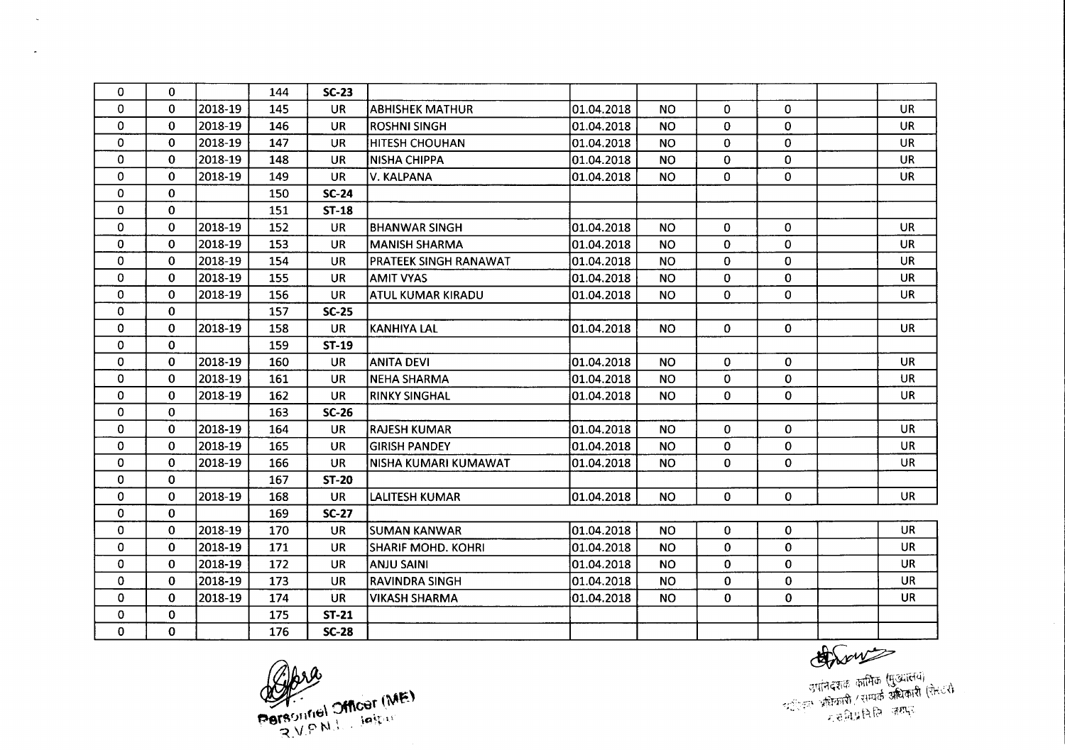| $\mathbf 0$  | 0            |         | 144 | $SC-23$      |                           |            |           |                |              |           |
|--------------|--------------|---------|-----|--------------|---------------------------|------------|-----------|----------------|--------------|-----------|
| $\mathbf 0$  | 0            | 2018-19 | 145 | <b>UR</b>    | <b>ABHISHEK MATHUR</b>    | 01.04.2018 | <b>NO</b> | $\mathbf{0}$   | $\mathbf{0}$ | <b>UR</b> |
| $\Omega$     | $\bf{0}$     | 2018-19 | 146 | <b>UR</b>    | <b>ROSHNI SINGH</b>       | 01.04.2018 | <b>NO</b> | 0              | $\mathbf{0}$ | <b>UR</b> |
| $\mathbf 0$  | $\mathbf 0$  | 2018-19 | 147 | <b>UR</b>    | HITESH CHOUHAN            | 01.04.2018 | <b>NO</b> | 0              | 0            | <b>UR</b> |
| 0            | $\mathbf{0}$ | 2018-19 | 148 | <b>UR</b>    | <b>NISHA CHIPPA</b>       | 01.04.2018 | <b>NO</b> | $\mathbf 0$    | 0            | <b>UR</b> |
| $\mathbf 0$  | $\Omega$     | 2018-19 | 149 | <b>UR</b>    | V. KALPANA                | 01.04.2018 | <b>NO</b> | $\mathbf{O}$   | $\Omega$     | <b>UR</b> |
| $\mathbf{0}$ | $\mathbf 0$  |         | 150 | $SC-24$      |                           |            |           |                |              |           |
| 0            | 0            |         | 151 | $ST-18$      |                           |            |           |                |              |           |
| 0            | $\Omega$     | 2018-19 | 152 | <b>UR</b>    | <b>BHANWAR SINGH</b>      | 01.04.2018 | <b>NO</b> | $\mathbf{0}$   | $\mathbf{0}$ | <b>UR</b> |
| $\mathbf 0$  | $\Omega$     | 2018-19 | 153 | <b>UR</b>    | <b>MANISH SHARMA</b>      | 01.04.2018 | <b>NO</b> | 0              | $\mathbf 0$  | <b>UR</b> |
| 0            | $\Omega$     | 2018-19 | 154 | UR           | PRATEEK SINGH RANAWAT     | 01.04.2018 | <b>NO</b> | 0              | $\mathbf 0$  | <b>UR</b> |
| $\bf{0}$     | 0            | 2018-19 | 155 | <b>UR</b>    | <b>AMIT VYAS</b>          | 01.04.2018 | <b>NO</b> | $\overline{0}$ | $\mathbf 0$  | <b>UR</b> |
| $\mathbf{0}$ | $\Omega$     | 2018-19 | 156 | <b>UR</b>    | ATUL KUMAR KIRADU         | 01.04.2018 | <b>NO</b> | $\Omega$       | $\Omega$     | <b>UR</b> |
| $\mathbf 0$  | $\Omega$     |         | 157 | $SC-25$      |                           |            |           |                |              |           |
| $\mathbf 0$  | 0            | 2018-19 | 158 | <b>UR</b>    | <b>KANHIYA LAL</b>        | 01.04.2018 | <b>NO</b> | 0              | $\mathbf{0}$ | <b>UR</b> |
| 0            | 0            |         | 159 | <b>ST-19</b> |                           |            |           |                |              |           |
| $\mathbf 0$  | 0            | 2018-19 | 160 | <b>UR</b>    | <b>ANITA DEVI</b>         | 01.04.2018 | <b>NO</b> | 0              | $\Omega$     | <b>UR</b> |
| 0            | $\mathbf 0$  | 2018-19 | 161 | <b>UR</b>    | <b>NEHA SHARMA</b>        | 01.04.2018 | <b>NO</b> | 0              | $\mathbf 0$  | UR        |
| $\bf{0}$     | $\mathbf 0$  | 2018-19 | 162 | <b>UR</b>    | <b>RINKY SINGHAL</b>      | 01.04.2018 | <b>NO</b> | 0              | $\mathbf 0$  | <b>UR</b> |
| $\mathbf 0$  | $\mathbf 0$  |         | 163 | $SC-26$      |                           |            |           |                |              |           |
| $\mathbf 0$  | $\Omega$     | 2018-19 | 164 | <b>UR</b>    | <b>RAJESH KUMAR</b>       | 01.04.2018 | <b>NO</b> | 0              | $\Omega$     | <b>UR</b> |
| $\mathbf 0$  | $\Omega$     | 2018-19 | 165 | <b>UR</b>    | <b>GIRISH PANDEY</b>      | 01.04.2018 | <b>NO</b> | 0              | $\mathbf 0$  | <b>UR</b> |
| $\Omega$     | $\Omega$     | 2018-19 | 166 | <b>UR</b>    | NISHA KUMARI KUMAWAT      | 01.04.2018 | <b>NO</b> | 0              | 0            | <b>UR</b> |
| $\mathbf 0$  | $\Omega$     |         | 167 | <b>ST-20</b> |                           |            |           |                |              |           |
| $\mathbf 0$  | $\Omega$     | 2018-19 | 168 | <b>UR</b>    | LALITESH KUMAR            | 01.04.2018 | <b>NO</b> | 0              | $\mathbf 0$  | <b>UR</b> |
| $\bf{0}$     | $\mathbf{0}$ |         | 169 | <b>SC-27</b> |                           |            |           |                |              |           |
| $\mathbf 0$  | $\mathbf{0}$ | 2018-19 | 170 | <b>UR</b>    | ISUMAN KANWAR             | 01.04.2018 | <b>NO</b> | $\mathbf{0}$   | 0            | <b>UR</b> |
| $\mathbf 0$  | $\mathbf{0}$ | 2018-19 | 171 | <b>UR</b>    | <b>SHARIF MOHD, KOHRI</b> | 01.04.2018 | <b>NO</b> | $\Omega$       | $\mathbf 0$  | <b>UR</b> |
| $\Omega$     | $\Omega$     | 2018-19 | 172 | <b>UR</b>    | <b>ANJU SAINI</b>         | 01.04.2018 | <b>NO</b> | $\mathbf{0}$   | $\Omega$     | <b>UR</b> |
| $\mathbf 0$  | $\mathbf{0}$ | 2018-19 | 173 | <b>UR</b>    | <b>RAVINDRA SINGH</b>     | 01.04.2018 | <b>NO</b> | 0              | $\bf{0}$     | <b>UR</b> |
| $\mathbf 0$  | $\Omega$     | 2018-19 | 174 | <b>UR</b>    | <b>VIKASH SHARMA</b>      | 01.04.2018 | <b>NO</b> | $\mathbf{0}$   | $\mathbf{0}$ | <b>UR</b> |
| $\mathbf 0$  | 0            |         | 175 | $ST-21$      |                           |            |           |                |              |           |
| $\mathbf{0}$ | 0            |         | 176 | $SC-28$      |                           |            |           |                |              |           |

 $\mathscr{A}$ bre Personnel Officer (ME)

 $\sim$ 

 $\overline{a}$ 

Chrows

उपनिदेशक कार्मिक (मुख्यालय)<br>उपनिदेशक कार्मिक अधिकारी (रोस्टरी<br>उपनिदेश करी सामिन्न करानु

 $\sim$